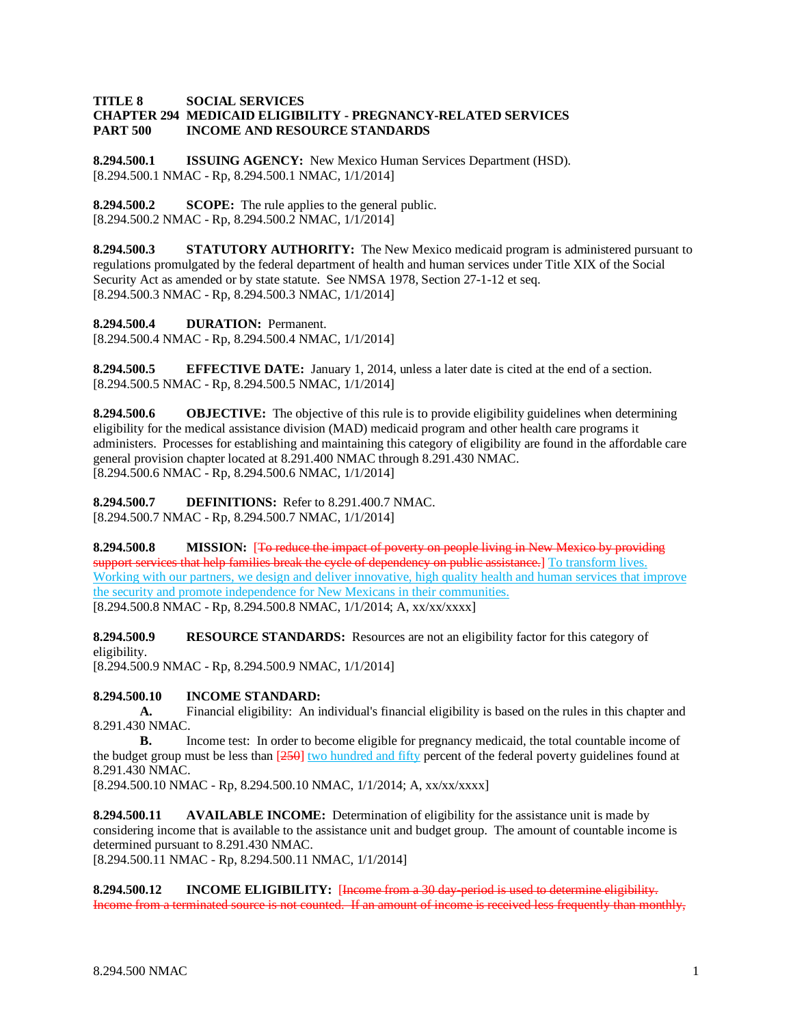## **TITLE 8 SOCIAL SERVICES CHAPTER 294 MEDICAID ELIGIBILITY - PREGNANCY-RELATED SERVICES PART 500 INCOME AND RESOURCE STANDARDS**

**8.294.500.1 ISSUING AGENCY:** New Mexico Human Services Department (HSD). [8.294.500.1 NMAC - Rp, 8.294.500.1 NMAC, 1/1/2014]

**8.294.500.2 SCOPE:** The rule applies to the general public. [8.294.500.2 NMAC - Rp, 8.294.500.2 NMAC, 1/1/2014]

**8.294.500.3 STATUTORY AUTHORITY:** The New Mexico medicaid program is administered pursuant to regulations promulgated by the federal department of health and human services under Title XIX of the Social Security Act as amended or by state statute. See NMSA 1978, Section 27-1-12 et seq. [8.294.500.3 NMAC - Rp, 8.294.500.3 NMAC, 1/1/2014]

**8.294.500.4 DURATION:** Permanent.

[8.294.500.4 NMAC - Rp, 8.294.500.4 NMAC, 1/1/2014]

**8.294.500.5 EFFECTIVE DATE:** January 1, 2014, unless a later date is cited at the end of a section. [8.294.500.5 NMAC - Rp, 8.294.500.5 NMAC, 1/1/2014]

**8.294.500.6 OBJECTIVE:** The objective of this rule is to provide eligibility guidelines when determining eligibility for the medical assistance division (MAD) medicaid program and other health care programs it administers. Processes for establishing and maintaining this category of eligibility are found in the affordable care general provision chapter located at 8.291.400 NMAC through 8.291.430 NMAC. [8.294.500.6 NMAC - Rp, 8.294.500.6 NMAC, 1/1/2014]

**8.294.500.7 DEFINITIONS:** Refer to 8.291.400.7 NMAC. [8.294.500.7 NMAC - Rp, 8.294.500.7 NMAC, 1/1/2014]

**8.294.500.8 MISSION:** [To reduce the impact of poverty on people living in New Mexico by providing support services that help families break the cycle of dependency on public assistance.] To transform lives. Working with our partners, we design and deliver innovative, high quality health and human services that improve the security and promote independence for New Mexicans in their communities. [8.294.500.8 NMAC - Rp, 8.294.500.8 NMAC, 1/1/2014; A, xx/xx/xxxx]

**8.294.500.9 RESOURCE STANDARDS:** Resources are not an eligibility factor for this category of eligibility.

[8.294.500.9 NMAC - Rp, 8.294.500.9 NMAC, 1/1/2014]

## **8.294.500.10 INCOME STANDARD:**

**A.** Financial eligibility: An individual's financial eligibility is based on the rules in this chapter and 8.291.430 NMAC.

**B.** Income test: In order to become eligible for pregnancy medicaid, the total countable income of the budget group must be less than  $[250]$  two hundred and fifty percent of the federal poverty guidelines found at 8.291.430 NMAC.

[8.294.500.10 NMAC - Rp, 8.294.500.10 NMAC, 1/1/2014; A, xx/xx/xxxx]

**8.294.500.11 AVAILABLE INCOME:** Determination of eligibility for the assistance unit is made by considering income that is available to the assistance unit and budget group. The amount of countable income is determined pursuant to 8.291.430 NMAC. [8.294.500.11 NMAC - Rp, 8.294.500.11 NMAC, 1/1/2014]

**8.294.500.12 INCOME ELIGIBILITY:** [Income from a 30 day-period is used to determine eligibility.

Income from a terminated source is not counted. If an amount of income is received less frequently than monthly,